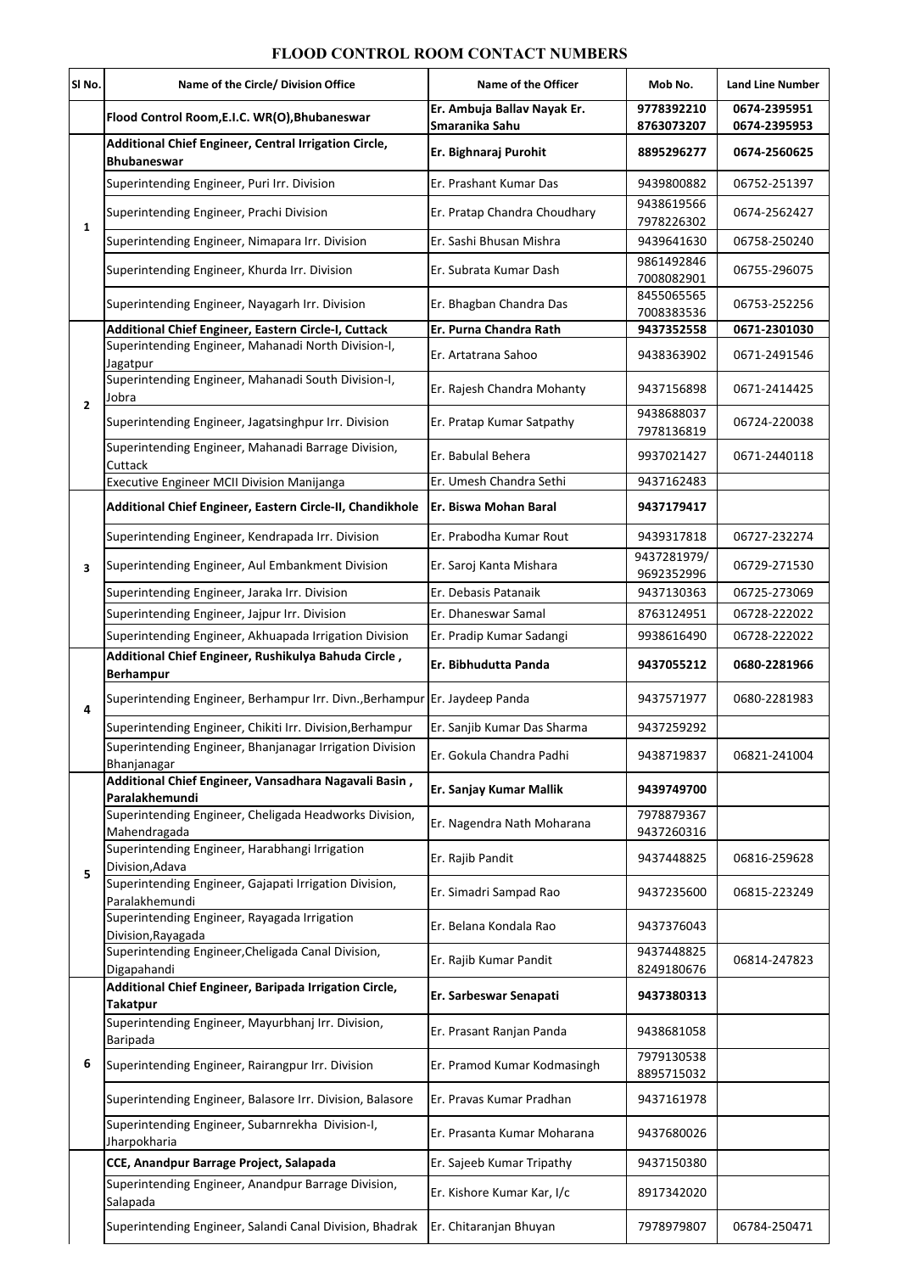## **SI No. Name of the Circle/ Division Office Name of the Officer Name of the Officer Name of the Officer Name of the Officer Name of the Officer Name of the Officer Name of the Officer Name of the Officer Flood Control Room,E.I.C. WR(O),Bhubaneswar Er. Ambuja Ballav Nayak Er. Smaranika Sahu 9778392210 8763073207 0674-2395951 0674-2395953 Additional Chief Engineer, Central Irrigation Circle, Bhubaneswar Er. Bighnaraj Purohit <sup>8895296277</sup> 0674-2560625** Superintending Engineer, Puri Irr. Division **Er. Prashant Kumar Das** [9439800882 | 06752-251397 Superintending Engineer, Prachi Division Er. Pratap Chandra Choudhary | 9438619566 7978226302 0674-2562427 Superintending Engineer, Nimapara Irr. Division **Er. Sashi Bhusan Mishra** 19439641630 | 06758-250240 Superintending Engineer, Khurda Irr. Division **Er. Subrata Kumar Dash** 9861492846 7008082901 06755-296075 Superintending Engineer, Nayagarh Irr. Division **Er. Bhagban Chandra Das** 8455065565 7008383536 06753-252256 Additional Chief Engineer, Eastern Circle-I, Cuttack | Er. Purna Chandra Rath | 9437352558 | 0671-2301030 Superintending Engineer, Mahanadi North Division-I, Jagatpur Er. Artatrana Sahoo 9438363902 0671-2491546 Superintending Engineer, Mahanadi South Division-I, Jobra Erlending Engineer, Mahandar South Bruslem V. (Er. Rajesh Chandra Mohanty 19437156898 19671-2414425 Superintending Engineer, Jagatsinghpur Irr. Division | Er. Pratap Kumar Satpathy | 9438688037 7978136819 06724-220038 Superintending Engineer, Mahanadi Barrage Division, Cuttack Er. Babulal Behera <sup>9937021427</sup> 0671-2440118 Executive Engineer MCII Division Manijanga **Executive Engineer MCII Division Manijanga Er. Umesh Chandra Sethi Additional Chief Engineer, Eastern Circle-II, Chandikhole Er. Biswa Mohan Baral 9437179417** Superintending Engineer, Kendrapada Irr. Division Fr. Prabodha Kumar Rout | 9439317818 | 06727-232274 Superintending Engineer, Aul Embankment Division Fr. Saroj Kanta Mishara 19437281979/ 9692352996 06729-271530 Superintending Engineer, Jaraka Irr. Division **Er. Debasis Patanaik** 19437130363 | 06725-273069 Superintending Engineer, Jajpur Irr. Division | Er. Dhaneswar Samal | 8763124951 | 06728-222022 Superintending Engineer, Akhuapada Irrigation Division | Er. Pradip Kumar Sadangi | 9938616490 | 06728-222022 **Additional Chief Engineer, Rushikulya Bahuda Circle , Berhampur Er. Bibhudutta Panda <sup>9437055212</sup> 0680-2281966** Superintending Engineer, Berhampur Irr. Divn.,Berhampur | Er. Jaydeep Panda | 9437571977 | 0680-2281983 Superintending Engineer, Chikiti Irr. Division,Berhampur | Er. Sanjib Kumar Das Sharma | 9437259292 Superintending Engineer, Bhanjanagar Irrigation Division Bhanjanagar Er. Gokula Chandra Padhi <sup>9438719837</sup> 06821-241004 **Additional Chief Engineer, Vansadhara Nagavali Basin , Paralakhemundi Er. Sanjay Kumar Mallik <sup>9439749700</sup>** Superintending Engineer, Cheligada Headworks Division, Er. Nagendra Nath Moharana (1978879367)<br>Mahendragada (1937260316) 9437260316 Superintending Engineer, Harabhangi Irrigation Division,Adava Er. Rajib Pandit <sup>9437448825</sup> 06816-259628 Superintending Engineer, Gajapati Irrigation Division, Paralakhemundi Paralakhemundi Er. Simadri Sampad Rao 2013-2023-249 | 9437235600 06815-223249 Superintending Engineer, Rayagada Irrigation Division,Rayagada Er. Belana Kondala Rao <sup>9437376043</sup> Superintending Engineer,Cheligada Canal Division,<br>Digapahandi digapahandi ke selali pada 249180676 8249180676 06814-247823 **1 2 3 4 5**

**Additional Chief Engineer, Baripada Irrigation Circle,** 

**Takatpur Er. Sarbeswar Senapati <sup>9437380313</sup>**

| 6 | ı akalpur                                                        |                             |                          |              |
|---|------------------------------------------------------------------|-----------------------------|--------------------------|--------------|
|   | Superintending Engineer, Mayurbhanj Irr. Division,<br>Baripada   | Er. Prasant Ranjan Panda    | 9438681058               |              |
|   | Superintending Engineer, Rairangpur Irr. Division                | Er. Pramod Kumar Kodmasingh | 7979130538<br>8895715032 |              |
|   | Superintending Engineer, Balasore Irr. Division, Balasore        | Er. Pravas Kumar Pradhan    | 9437161978               |              |
|   | Superintending Engineer, Subarnrekha Division-I,<br>Jharpokharia | Er. Prasanta Kumar Moharana | 9437680026               |              |
|   | CCE, Anandpur Barrage Project, Salapada                          | Er. Sajeeb Kumar Tripathy   | 9437150380               |              |
|   | Superintending Engineer, Anandpur Barrage Division,<br>Salapada  | Er. Kishore Kumar Kar, I/c  | 8917342020               |              |
|   | Superintending Engineer, Salandi Canal Division, Bhadrak         | Er. Chitaranjan Bhuyan      | 7978979807               | 06784-250471 |

## **FLOOD CONTROL ROOM CONTACT NUMBERS**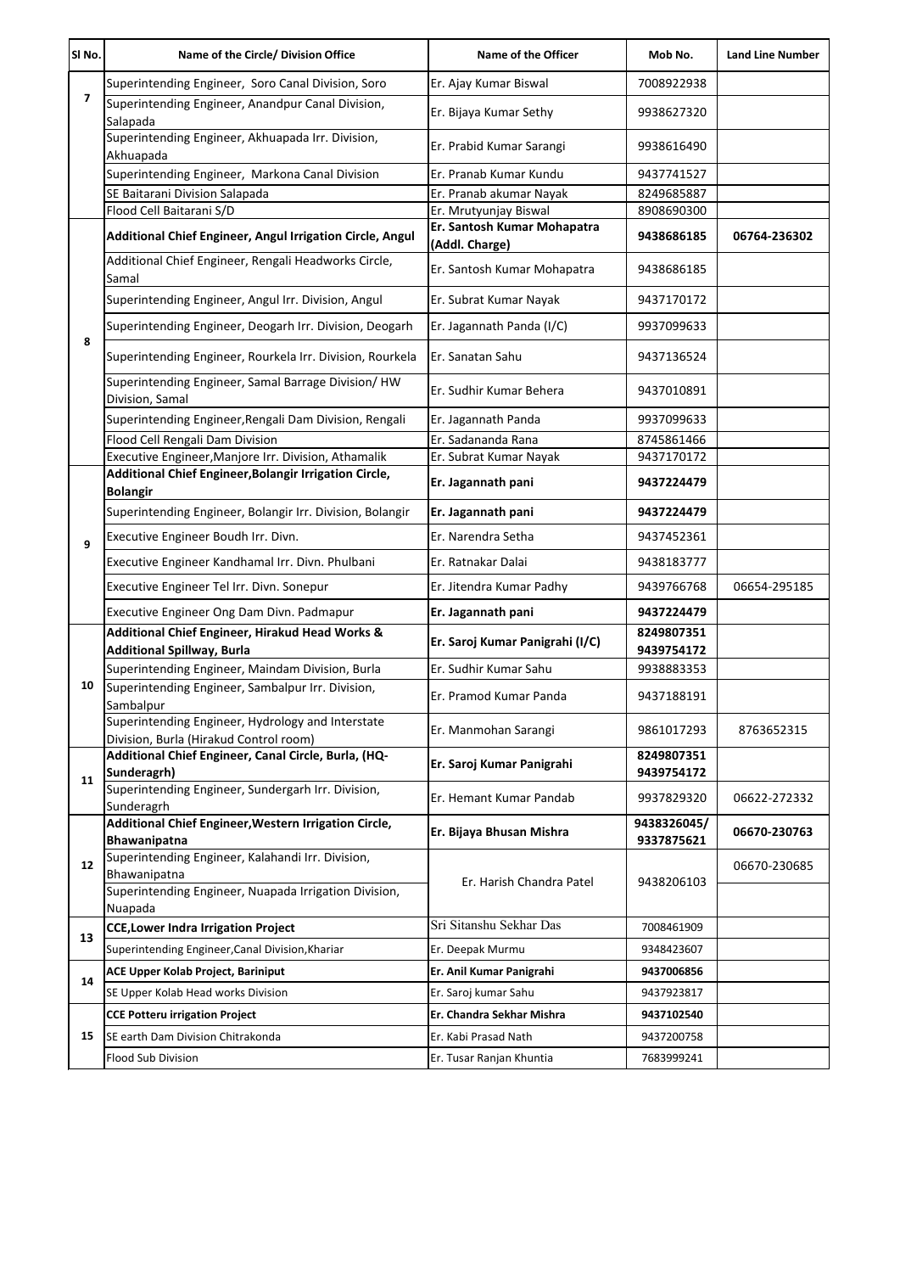| SI <sub>No.</sub> | Name of the Circle/ Division Office                                                             | <b>Name of the Officer</b>                       | Mob No.                   | <b>Land Line Number</b> |
|-------------------|-------------------------------------------------------------------------------------------------|--------------------------------------------------|---------------------------|-------------------------|
|                   | Superintending Engineer, Soro Canal Division, Soro                                              | Er. Ajay Kumar Biswal                            | 7008922938                |                         |
| 7                 | Superintending Engineer, Anandpur Canal Division,<br>Salapada                                   | Er. Bijaya Kumar Sethy                           | 9938627320                |                         |
|                   | Superintending Engineer, Akhuapada Irr. Division,<br>Akhuapada                                  | Er. Prabid Kumar Sarangi                         | 9938616490                |                         |
|                   | Superintending Engineer, Markona Canal Division                                                 | Er. Pranab Kumar Kundu                           | 9437741527                |                         |
|                   | SE Baitarani Division Salapada                                                                  | Er. Pranab akumar Nayak                          | 8249685887                |                         |
|                   | Flood Cell Baitarani S/D                                                                        | Er. Mrutyunjay Biswal                            | 8908690300                |                         |
|                   | Additional Chief Engineer, Angul Irrigation Circle, Angul                                       | Er. Santosh Kumar Mohapatra<br>(Addl. Charge)    | 9438686185                | 06764-236302            |
|                   | Additional Chief Engineer, Rengali Headworks Circle,<br>Samal                                   | Er. Santosh Kumar Mohapatra                      | 9438686185                |                         |
|                   | Superintending Engineer, Angul Irr. Division, Angul                                             | Er. Subrat Kumar Nayak                           | 9437170172                |                         |
| 8                 | Superintending Engineer, Deogarh Irr. Division, Deogarh                                         | Er. Jagannath Panda (I/C)                        | 9937099633                |                         |
|                   | Superintending Engineer, Rourkela Irr. Division, Rourkela                                       | Er. Sanatan Sahu                                 | 9437136524                |                         |
|                   | Superintending Engineer, Samal Barrage Division/ HW<br>Division, Samal                          | Er. Sudhir Kumar Behera                          | 9437010891                |                         |
|                   | Superintending Engineer, Rengali Dam Division, Rengali                                          | Er. Jagannath Panda                              | 9937099633                |                         |
|                   | Flood Cell Rengali Dam Division                                                                 | Er. Sadananda Rana                               | 8745861466                |                         |
|                   | Executive Engineer, Manjore Irr. Division, Athamalik                                            | Er. Subrat Kumar Nayak                           | 9437170172                |                         |
|                   | Additional Chief Engineer, Bolangir Irrigation Circle,<br><b>Bolangir</b>                       | Er. Jagannath pani                               | 9437224479                |                         |
|                   | Superintending Engineer, Bolangir Irr. Division, Bolangir                                       | Er. Jagannath pani                               | 9437224479                |                         |
| 9                 | Executive Engineer Boudh Irr. Divn.                                                             | Er. Narendra Setha                               | 9437452361                |                         |
|                   | Executive Engineer Kandhamal Irr. Divn. Phulbani                                                | Er. Ratnakar Dalai                               | 9438183777                |                         |
|                   | Executive Engineer Tel Irr. Divn. Sonepur                                                       | Er. Jitendra Kumar Padhy                         | 9439766768                | 06654-295185            |
|                   | Executive Engineer Ong Dam Divn. Padmapur                                                       | Er. Jagannath pani                               | 9437224479                |                         |
|                   | <b>Additional Chief Engineer, Hirakud Head Works &amp;</b><br><b>Additional Spillway, Burla</b> | Er. Saroj Kumar Panigrahi (I/C)                  | 8249807351<br>9439754172  |                         |
|                   | Superintending Engineer, Maindam Division, Burla                                                | Er. Sudhir Kumar Sahu                            | 9938883353                |                         |
| 10                | Superintending Engineer, Sambalpur Irr. Division,<br>Sambalpur                                  | Er. Pramod Kumar Panda                           | 9437188191                |                         |
|                   | Superintending Engineer, Hydrology and Interstate<br>Division, Burla (Hirakud Control room)     | Er. Manmohan Sarangi                             | 9861017293                | 8763652315              |
|                   | Additional Chief Engineer, Canal Circle, Burla, (HQ-<br>Sunderagrh)                             | Er. Saroj Kumar Panigrahi                        | 8249807351<br>9439754172  |                         |
| 11                | Superintending Engineer, Sundergarh Irr. Division,<br>Sunderagrh                                | Er. Hemant Kumar Pandab                          | 9937829320                | 06622-272332            |
|                   | Additional Chief Engineer, Western Irrigation Circle,<br><b>Bhawanipatna</b>                    | Er. Bijaya Bhusan Mishra                         | 9438326045/<br>9337875621 | 06670-230763            |
| 12                | Superintending Engineer, Kalahandi Irr. Division,<br>Bhawanipatna                               |                                                  | 9438206103                | 06670-230685            |
|                   | Superintending Engineer, Nuapada Irrigation Division,                                           | Er. Harish Chandra Patel                         |                           |                         |
|                   | Nuapada<br><b>CCE, Lower Indra Irrigation Project</b>                                           | Sri Sitanshu Sekhar Das                          | 7008461909                |                         |
| 13                | Superintending Engineer, Canal Division, Khariar                                                | Er. Deepak Murmu                                 | 9348423607                |                         |
|                   | <b>ACE Upper Kolab Project, Bariniput</b>                                                       | Er. Anil Kumar Panigrahi                         | 9437006856                |                         |
| 14                | SE Upper Kolab Head works Division                                                              | Er. Saroj kumar Sahu                             | 9437923817                |                         |
|                   | <b>CCE Potteru irrigation Project</b>                                                           | Er. Chandra Sekhar Mishra                        | 9437102540                |                         |
| 15                | SE earth Dam Division Chitrakonda                                                               |                                                  |                           |                         |
|                   | Flood Sub Division                                                                              | Er. Kabi Prasad Nath<br>Er. Tusar Ranjan Khuntia | 9437200758<br>7683999241  |                         |
|                   |                                                                                                 |                                                  |                           |                         |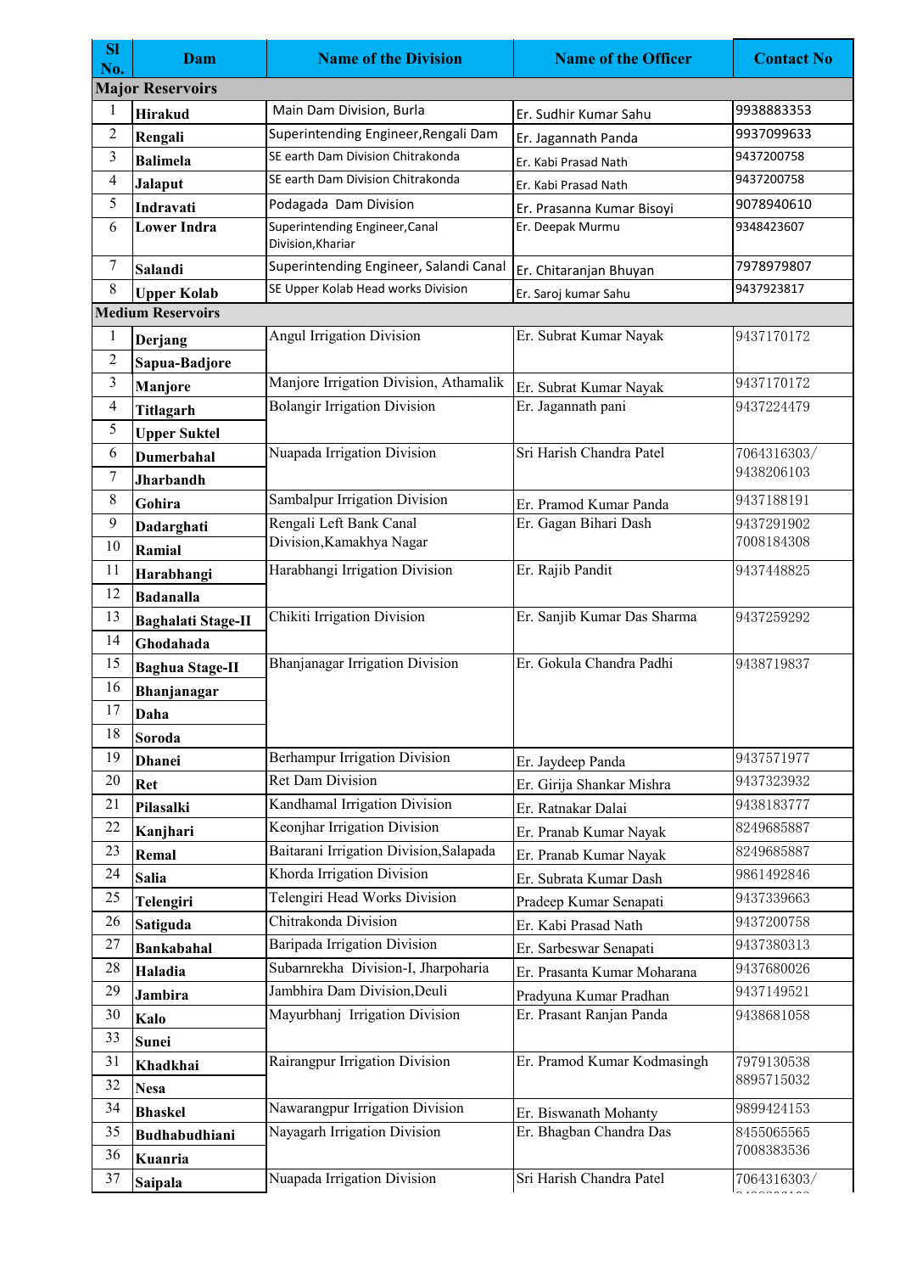| <b>SI</b><br>No. | Dam                       | <b>Name of the Division</b>             | <b>Name of the Officer</b>  | <b>Contact No</b> |  |
|------------------|---------------------------|-----------------------------------------|-----------------------------|-------------------|--|
|                  | <b>Major Reservoirs</b>   |                                         |                             |                   |  |
| $\mathbf{1}$     | <b>Hirakud</b>            | Main Dam Division, Burla                | Er. Sudhir Kumar Sahu       | 9938883353        |  |
| $\overline{2}$   | Rengali                   | Superintending Engineer, Rengali Dam    | Er. Jagannath Panda         | 9937099633        |  |
| 3                | <b>Balimela</b>           | SE earth Dam Division Chitrakonda       | Er. Kabi Prasad Nath        | 9437200758        |  |
| 4                | <b>Jalaput</b>            | SE earth Dam Division Chitrakonda       | Er. Kabi Prasad Nath        | 9437200758        |  |
| 5                | Indravati                 | Podagada Dam Division                   | Er. Prasanna Kumar Bisoyi   | 9078940610        |  |
| 6                | <b>Lower Indra</b>        | Superintending Engineer, Canal          | Er. Deepak Murmu            | 9348423607        |  |
|                  |                           | Division, Khariar                       |                             |                   |  |
| $\tau$           | Salandi                   | Superintending Engineer, Salandi Canal  | Er. Chitaranjan Bhuyan      | 7978979807        |  |
| $8\,$            | <b>Upper Kolab</b>        | SE Upper Kolab Head works Division      | Er. Saroj kumar Sahu        | 9437923817        |  |
|                  | <b>Medium Reservoirs</b>  |                                         |                             |                   |  |
| $\mathbf{1}$     | Derjang                   | <b>Angul Irrigation Division</b>        | Er. Subrat Kumar Nayak      | 9437170172        |  |
| $\overline{2}$   | Sapua-Badjore             |                                         |                             |                   |  |
| 3                | Manjore                   | Manjore Irrigation Division, Athamalik  | Er. Subrat Kumar Nayak      | 9437170172        |  |
| 4                | Titlagarh                 | <b>Bolangir Irrigation Division</b>     | Er. Jagannath pani          | 9437224479        |  |
| 5                | <b>Upper Suktel</b>       |                                         |                             |                   |  |
| 6                | <b>Dumerbahal</b>         | Nuapada Irrigation Division             | Sri Harish Chandra Patel    | 7064316303/       |  |
| 7                | <b>Jharbandh</b>          |                                         |                             | 9438206103        |  |
| 8                | Gohira                    | Sambalpur Irrigation Division           | Er. Pramod Kumar Panda      | 9437188191        |  |
| 9                | Dadarghati                | Rengali Left Bank Canal                 | Er. Gagan Bihari Dash       | 9437291902        |  |
| 10               | Ramial                    | Division, Kamakhya Nagar                |                             | 7008184308        |  |
| 11               | Harabhangi                | Harabhangi Irrigation Division          | Er. Rajib Pandit            | 9437448825        |  |
| 12               | <b>Badanalla</b>          |                                         |                             |                   |  |
| 13               | <b>Baghalati Stage-II</b> | Chikiti Irrigation Division             | Er. Sanjib Kumar Das Sharma | 9437259292        |  |
| 14               | Ghodahada                 |                                         |                             |                   |  |
| 15               | <b>Baghua Stage-II</b>    | Bhanjanagar Irrigation Division         | Er. Gokula Chandra Padhi    | 9438719837        |  |
| 16               | Bhanjanagar               |                                         |                             |                   |  |
| 17               | Daha                      |                                         |                             |                   |  |
| 18               | Soroda                    |                                         |                             |                   |  |
| 19               | <b>Dhanei</b>             | <b>Berhampur Irrigation Division</b>    | Er. Jaydeep Panda           | 9437571977        |  |
| 20               | <b>Ret</b>                | <b>Ret Dam Division</b>                 | Er. Girija Shankar Mishra   | 9437323932        |  |
| 21               | Pilasalki                 | Kandhamal Irrigation Division           | Er. Ratnakar Dalai          | 9438183777        |  |
| 22               | Kanjhari                  | Keonjhar Irrigation Division            | Er. Pranab Kumar Nayak      | 8249685887        |  |
| 23               | Remal                     | Baitarani Irrigation Division, Salapada | Er. Pranab Kumar Nayak      | 8249685887        |  |
| 24               | <b>Salia</b>              | Khorda Irrigation Division              | Er. Subrata Kumar Dash      | 9861492846        |  |
| 25               | Telengiri                 | Telengiri Head Works Division           | Pradeep Kumar Senapati      | 9437339663        |  |
| 26               | <b>Satiguda</b>           | Chitrakonda Division                    | Er. Kabi Prasad Nath        | 9437200758        |  |
| 27               | <b>Bankabahal</b>         | <b>Baripada Irrigation Division</b>     | Er. Sarbeswar Senapati      | 9437380313        |  |
| 28               | Haladia                   | Subarnrekha Division-I, Jharpoharia     | Er. Prasanta Kumar Moharana | 9437680026        |  |
| 29               | <b>Jambira</b>            | Jambhira Dam Division, Deuli            | Pradyuna Kumar Pradhan      | 9437149521        |  |
| 30               | Kalo                      | Mayurbhanj Irrigation Division          | Er. Prasant Ranjan Panda    | 9438681058        |  |
| 33               | <b>Sunei</b>              |                                         |                             |                   |  |
| 31               | Khadkhai                  | Rairangpur Irrigation Division          | Er. Pramod Kumar Kodmasingh | 7979130538        |  |
| 32               | <b>Nesa</b>               |                                         |                             | 8895715032        |  |
| 34               | <b>Bhaskel</b>            | Nawarangpur Irrigation Division         | Er. Biswanath Mohanty       | 9899424153        |  |
| 35               | Budhabudhiani             | Nayagarh Irrigation Division            | Er. Bhagban Chandra Das     | 8455065565        |  |
| 36               | Kuanria                   |                                         |                             | 7008383536        |  |
| 37               | <b>Saipala</b>            | Nuapada Irrigation Division             | Sri Harish Chandra Patel    | 7064316303/       |  |
|                  |                           |                                         |                             |                   |  |